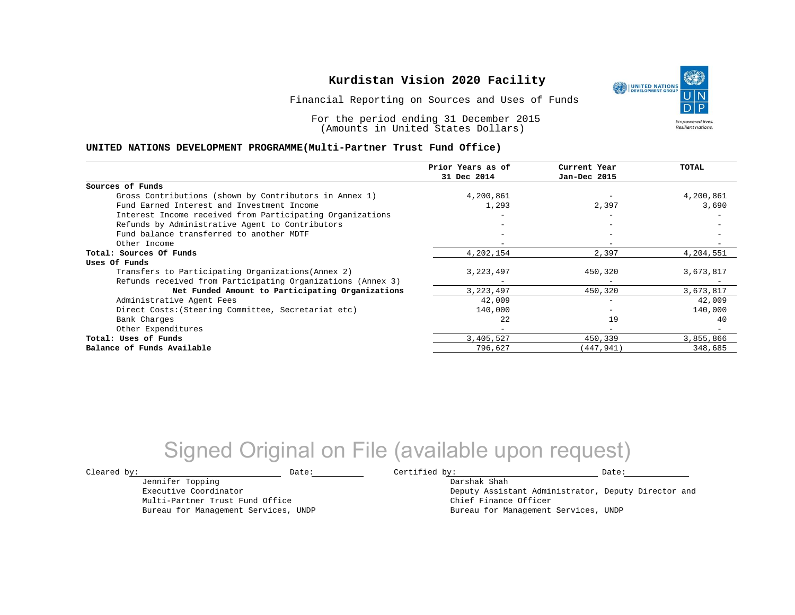Financial Reporting on Sources and Uses of Funds

For the period ending 31 December 2015 (Amounts in United States Dollars)

#### **UNITED NATIONS DEVELOPMENT PROGRAMME(Multi-Partner Trust Fund Office)**

| Prior Years as of<br>31 Dec 2014 | Current Year             | <b>TOTAL</b> |
|----------------------------------|--------------------------|--------------|
|                                  | Jan-Dec 2015             |              |
|                                  |                          |              |
| 4,200,861                        |                          | 4,200,861    |
| 1,293                            | 2,397                    | 3,690        |
|                                  |                          |              |
|                                  | $\overline{\phantom{0}}$ |              |
|                                  |                          |              |
|                                  |                          |              |
| 4,202,154                        | 2,397                    | 4,204,551    |
|                                  |                          |              |
| 3, 223, 497                      | 450,320                  | 3,673,817    |
|                                  | $\overline{\phantom{m}}$ |              |
| 3, 223, 497                      | 450,320                  | 3,673,817    |
| 42,009                           |                          | 42,009       |
| 140,000                          |                          | 140,000      |
| 22                               | 19                       | 40           |
|                                  | $\equiv$                 |              |
| 3,405,527                        | 450,339                  | 3,855,866    |
| 796,627                          | 447,941)                 | 348,685      |
|                                  |                          |              |

## Signed Original on File (available upon request)

Jennifer Topping Executive Coordinator Multi-Partner Trust Fund Office Bureau for Management Services, UNDP

 $\texttt{Cleared by:}\footnotesize \begin{minipage}{0.9\linewidth} \texttt{Date:}\footnotesize \begin{minipage}{0.9\linewidth} \texttt{Date:}\footnotesize \begin{minipage}{0.9\linewidth} \end{minipage} \end{minipage}$ 

Darshak Shah Deputy Assistant Administrator, Deputy Director and Chief Finance Officer Bureau for Management Services, UNDP

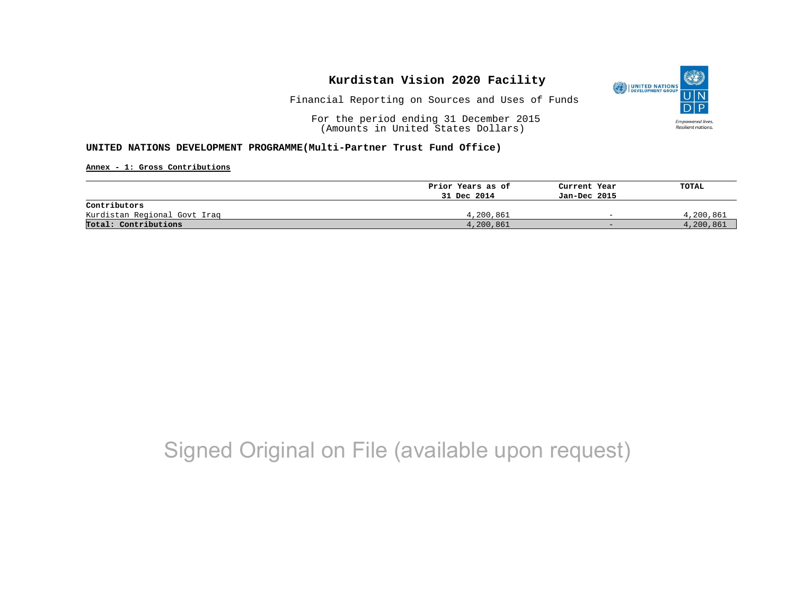

Financial Reporting on Sources and Uses of Funds

For the period ending 31 December 2015 (Amounts in United States Dollars)

#### **UNITED NATIONS DEVELOPMENT PROGRAMME(Multi-Partner Trust Fund Office)**

**Annex - 1: Gross Contributions**

|                              | Prior Years as of | Current Year             | TOTAL     |
|------------------------------|-------------------|--------------------------|-----------|
|                              | 31 Dec 2014       | Jan-Dec 2015             |           |
| Contributors                 |                   |                          |           |
| Kurdistan Regional Govt Iraq | 4,200,861         | $\overline{\phantom{0}}$ | 4,200,861 |
| Total: Contributions         | 4,200,861         | $-$                      | 4,200,861 |

## Signed Original on File (available upon request)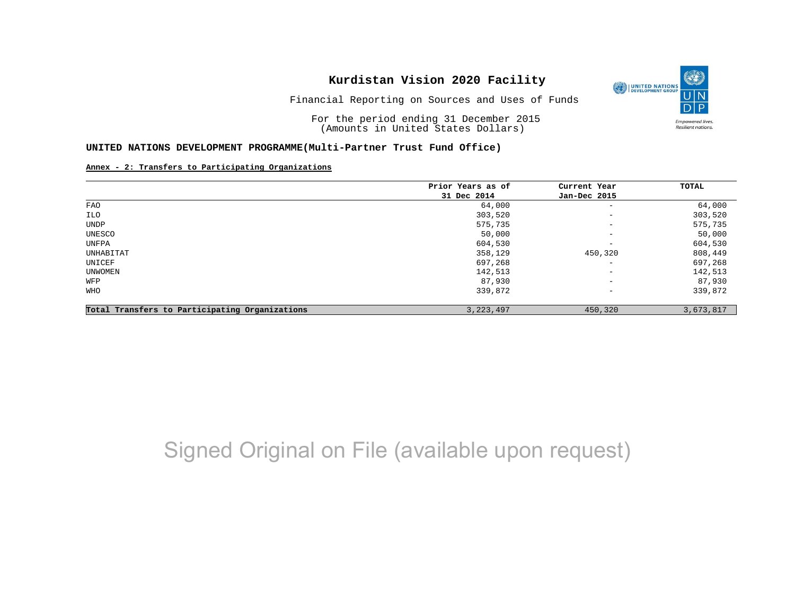Financial Reporting on Sources and Uses of Funds

For the period ending 31 December 2015 (Amounts in United States Dollars)

#### **UNITED NATIONS DEVELOPMENT PROGRAMME(Multi-Partner Trust Fund Office)**

#### **Annex - 2: Transfers to Participating Organizations**

|                                                | Prior Years as of<br>31 Dec 2014 | Current Year             | TOTAL     |
|------------------------------------------------|----------------------------------|--------------------------|-----------|
|                                                |                                  | Jan-Dec 2015             |           |
| FAO                                            | 64,000                           | $\qquad \qquad -$        | 64,000    |
| ILO                                            | 303,520                          | $\qquad \qquad -$        | 303,520   |
| UNDP                                           | 575,735                          | $\overline{\phantom{m}}$ | 575,735   |
| UNESCO                                         | 50,000                           | $\qquad \qquad -$        | 50,000    |
| UNFPA                                          | 604,530                          | $\qquad \qquad -$        | 604,530   |
| UNHABITAT                                      | 358,129                          | 450,320                  | 808,449   |
| UNICEF                                         | 697,268                          | $\overline{\phantom{m}}$ | 697,268   |
| UNWOMEN                                        | 142,513                          | $\overline{\phantom{m}}$ | 142,513   |
| WFP                                            | 87,930                           | $\qquad \qquad -$        | 87,930    |
| WHO                                            | 339,872                          | $\qquad \qquad -$        | 339,872   |
| Total Transfers to Participating Organizations | 3, 223, 497                      | 450,320                  | 3,673,817 |

# Signed Original on File (available upon request)